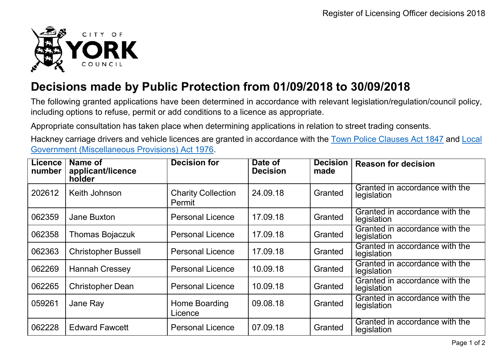

## **Decisions made by Public Protection from 01/09/2018 to 30/09/2018**

The following granted applications have been determined in accordance with relevant legislation/regulation/council policy, including options to refuse, permit or add conditions to a licence as appropriate.

Appropriate consultation has taken place when determining applications in relation to street trading consents.

Hackney carriage drivers and vehicle licences are granted in accordance with the Town Police [Clauses](http://www.legislation.gov.uk/ukpga/Vict/10-11/89) Act 1847 and [Local](http://www.legislation.gov.uk/ukpga/1976/57) [Government \(Miscellaneous Provisions\) Act 1976.](http://www.legislation.gov.uk/ukpga/1976/57)

| <b>Licence</b><br>number | Name of<br>applicant/licence<br>holder | <b>Decision for</b>                 | Date of<br><b>Decision</b> | <b>Decision</b><br>made | <b>Reason for decision</b>                    |
|--------------------------|----------------------------------------|-------------------------------------|----------------------------|-------------------------|-----------------------------------------------|
| 202612                   | Keith Johnson                          | <b>Charity Collection</b><br>Permit | 24.09.18                   | Granted                 | Granted in accordance with the<br>legislation |
| 062359                   | <b>Jane Buxton</b>                     | <b>Personal Licence</b>             | 17.09.18                   | Granted                 | Granted in accordance with the<br>legislation |
| 062358                   | <b>Thomas Bojaczuk</b>                 | <b>Personal Licence</b>             | 17.09.18                   | Granted                 | Granted in accordance with the<br>legislation |
| 062363                   | <b>Christopher Bussell</b>             | <b>Personal Licence</b>             | 17.09.18                   | Granted                 | Granted in accordance with the<br>legislation |
| 062269                   | <b>Hannah Cressey</b>                  | <b>Personal Licence</b>             | 10.09.18                   | Granted                 | Granted in accordance with the<br>legislation |
| 062265                   | <b>Christopher Dean</b>                | <b>Personal Licence</b>             | 10.09.18                   | Granted                 | Granted in accordance with the<br>legislation |
| 059261                   | Jane Ray                               | Home Boarding<br>Licence            | 09.08.18                   | Granted                 | Granted in accordance with the<br>legislation |
| 062228                   | <b>Edward Fawcett</b>                  | <b>Personal Licence</b>             | 07.09.18                   | Granted                 | Granted in accordance with the<br>legislation |